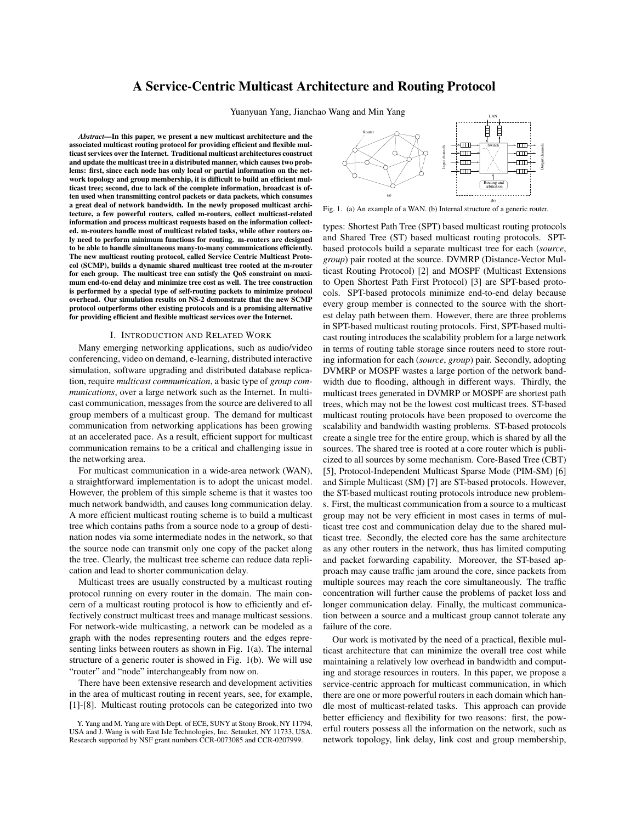# **A Service-Centric Multicast Architecture and Routing Protocol**

Yuanyuan Yang, Jianchao Wang and Min Yang

*Abstract—***In this paper, we present a new multicast architecture and the associated multicast routing protocol for providing efficient and flexible multicast services over the Internet. Traditional multicast architectures construct and update the multicast tree in a distributed manner, which causes two problems: first, since each node has only local or partial information on the network topology and group membership, it is difficult to build an efficient multicast tree; second, due to lack of the complete information, broadcast is often used when transmitting control packets or data packets, which consumes a great deal of network bandwidth. In the newly proposed multicast architecture, a few powerful routers, called m-routers, collect multicast-related information and process multicast requests based on the information collected. m-routers handle most of multicast related tasks, while other routers only need to perform minimum functions for routing. m-routers are designed to be able to handle simultaneous many-to-many communications efficiently. The new multicast routing protocol, called Service Centric Multicast Protocol (SCMP), builds a dynamic shared multicast tree rooted at the m-router for each group. The multicast tree can satisfy the QoS constraint on maximum end-to-end delay and minimize tree cost as well. The tree construction is performed by a special type of self-routing packets to minimize protocol overhead. Our simulation results on NS-2 demonstrate that the new SCMP protocol outperforms other existing protocols and is a promising alternative for providing efficient and flexible multicast services over the Internet.**

### I. INTRODUCTION AND RELATED WORK

Many emerging networking applications, such as audio/video conferencing, video on demand, e-learning, distributed interactive simulation, software upgrading and distributed database replication, require *multicast communication*, a basic type of *group communications*, over a large network such as the Internet. In multicast communication, messages from the source are delivered to all group members of a multicast group. The demand for multicast communication from networking applications has been growing at an accelerated pace. As a result, efficient support for multicast communication remains to be a critical and challenging issue in the networking area.

For multicast communication in a wide-area network (WAN), a straightforward implementation is to adopt the unicast model. However, the problem of this simple scheme is that it wastes too much network bandwidth, and causes long communication delay. A more efficient multicast routing scheme is to build a multicast tree which contains paths from a source node to a group of destination nodes via some intermediate nodes in the network, so that the source node can transmit only one copy of the packet along the tree. Clearly, the multicast tree scheme can reduce data replication and lead to shorter communication delay.

Multicast trees are usually constructed by a multicast routing protocol running on every router in the domain. The main concern of a multicast routing protocol is how to efficiently and effectively construct multicast trees and manage multicast sessions. For network-wide multicasting, a network can be modeled as a graph with the nodes representing routers and the edges representing links between routers as shown in Fig. 1(a). The internal structure of a generic router is showed in Fig. 1(b). We will use "router" and "node" interchangeably from now on.

There have been extensive research and development activities in the area of multicast routing in recent years, see, for example, [1]-[8]. Multicast routing protocols can be categorized into two



Fig. 1. (a) An example of a WAN. (b) Internal structure of a generic router.

types: Shortest Path Tree (SPT) based multicast routing protocols and Shared Tree (ST) based multicast routing protocols. SPTbased protocols build a separate multicast tree for each (*source*, *group*) pair rooted at the source. DVMRP (Distance-Vector Multicast Routing Protocol) [2] and MOSPF (Multicast Extensions to Open Shortest Path First Protocol) [3] are SPT-based protocols. SPT-based protocols minimize end-to-end delay because every group member is connected to the source with the shortest delay path between them. However, there are three problems in SPT-based multicast routing protocols. First, SPT-based multicast routing introduces the scalability problem for a large network in terms of routing table storage since routers need to store routing information for each (*source*, *group*) pair. Secondly, adopting DVMRP or MOSPF wastes a large portion of the network bandwidth due to flooding, although in different ways. Thirdly, the multicast trees generated in DVMRP or MOSPF are shortest path trees, which may not be the lowest cost multicast trees. ST-based multicast routing protocols have been proposed to overcome the scalability and bandwidth wasting problems. ST-based protocols create a single tree for the entire group, which is shared by all the sources. The shared tree is rooted at a core router which is publicized to all sources by some mechanism. Core-Based Tree (CBT) [5], Protocol-Independent Multicast Sparse Mode (PIM-SM) [6] and Simple Multicast (SM) [7] are ST-based protocols. However, the ST-based multicast routing protocols introduce new problems. First, the multicast communication from a source to a multicast group may not be very efficient in most cases in terms of multicast tree cost and communication delay due to the shared multicast tree. Secondly, the elected core has the same architecture as any other routers in the network, thus has limited computing and packet forwarding capability. Moreover, the ST-based approach may cause traffic jam around the core, since packets from multiple sources may reach the core simultaneously. The traffic concentration will further cause the problems of packet loss and longer communication delay. Finally, the multicast communication between a source and a multicast group cannot tolerate any failure of the core.

Our work is motivated by the need of a practical, flexible multicast architecture that can minimize the overall tree cost while maintaining a relatively low overhead in bandwidth and computing and storage resources in routers. In this paper, we propose a service-centric approach for multicast communication, in which there are one or more powerful routers in each domain which handle most of multicast-related tasks. This approach can provide better efficiency and flexibility for two reasons: first, the powerful routers possess all the information on the network, such as network topology, link delay, link cost and group membership,

Y. Yang and M. Yang are with Dept. of ECE, SUNY at Stony Brook, NY 11794, USA and J. Wang is with East Isle Technologies, Inc. Setauket, NY 11733, USA. Research supported by NSF grant numbers CCR-0073085 and CCR-0207999.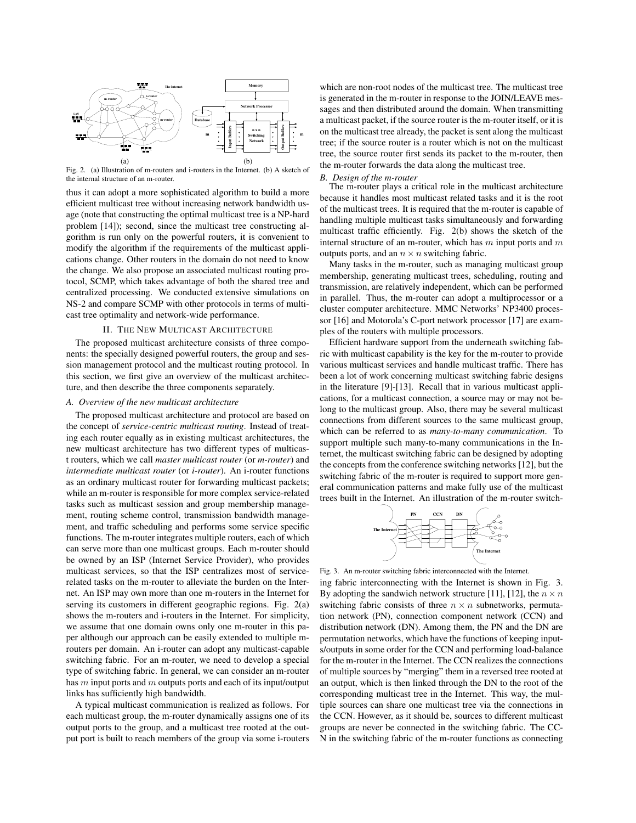

Fig. 2. (a) Illustration of m-routers and i-routers in the Internet. (b) A sketch of the internal structure of an m-router.

thus it can adopt a more sophisticated algorithm to build a more efficient multicast tree without increasing network bandwidth usage (note that constructing the optimal multicast tree is a NP-hard problem [14]); second, since the multicast tree constructing algorithm is run only on the powerful routers, it is convenient to modify the algorithm if the requirements of the multicast applications change. Other routers in the domain do not need to know the change. We also propose an associated multicast routing protocol, SCMP, which takes advantage of both the shared tree and centralized processing. We conducted extensive simulations on NS-2 and compare SCMP with other protocols in terms of multicast tree optimality and network-wide performance.

# II. THE NEW MULTICAST ARCHITECTURE

The proposed multicast architecture consists of three components: the specially designed powerful routers, the group and session management protocol and the multicast routing protocol. In this section, we first give an overview of the multicast architecture, and then describe the three components separately.

#### *A. Overview of the new multicast architecture*

The proposed multicast architecture and protocol are based on the concept of *service-centric multicast routing*. Instead of treating each router equally as in existing multicast architectures, the new multicast architecture has two different types of multicast routers, which we call *master multicast router* (or *m-router*) and *intermediate multicast router* (or *i-router*). An i-router functions as an ordinary multicast router for forwarding multicast packets; while an m-router is responsible for more complex service-related tasks such as multicast session and group membership management, routing scheme control, transmission bandwidth management, and traffic scheduling and performs some service specific functions. The m-router integrates multiple routers, each of which can serve more than one multicast groups. Each m-router should be owned by an ISP (Internet Service Provider), who provides multicast services, so that the ISP centralizes most of servicerelated tasks on the m-router to alleviate the burden on the Internet. An ISP may own more than one m-routers in the Internet for serving its customers in different geographic regions. Fig. 2(a) shows the m-routers and i-routers in the Internet. For simplicity, we assume that one domain owns only one m-router in this paper although our approach can be easily extended to multiple mrouters per domain. An i-router can adopt any multicast-capable switching fabric. For an m-router, we need to develop a special type of switching fabric. In general, we can consider an m-router has  $m$  input ports and  $m$  outputs ports and each of its input/output links has sufficiently high bandwidth.

A typical multicast communication is realized as follows. For each multicast group, the m-router dynamically assigns one of its output ports to the group, and a multicast tree rooted at the output port is built to reach members of the group via some i-routers

which are non-root nodes of the multicast tree. The multicast tree is generated in the m-router in response to the JOIN/LEAVE messages and then distributed around the domain. When transmitting a multicast packet, if the source router is the m-router itself, or it is on the multicast tree already, the packet is sent along the multicast tree; if the source router is a router which is not on the multicast tree, the source router first sends its packet to the m-router, then the m-router forwards the data along the multicast tree.

#### *B. Design of the m-router*

The m-router plays a critical role in the multicast architecture because it handles most multicast related tasks and it is the root of the multicast trees. It is required that the m-router is capable of handling multiple multicast tasks simultaneously and forwarding multicast traffic efficiently. Fig. 2(b) shows the sketch of the internal structure of an m-router, which has  $m$  input ports and  $m$ outputs ports, and an  $n \times n$  switching fabric.

Many tasks in the m-router, such as managing multicast group membership, generating multicast trees, scheduling, routing and transmission, are relatively independent, which can be performed in parallel. Thus, the m-router can adopt a multiprocessor or a cluster computer architecture. MMC Networks' NP3400 processor [16] and Motorola's C-port network processor [17] are examples of the routers with multiple processors.

Efficient hardware support from the underneath switching fabric with multicast capability is the key for the m-router to provide various multicast services and handle multicast traffic. There has been a lot of work concerning multicast switching fabric designs in the literature [9]-[13]. Recall that in various multicast applications, for a multicast connection, a source may or may not belong to the multicast group. Also, there may be several multicast connections from different sources to the same multicast group, which can be referred to as *many-to-many communication*. To support multiple such many-to-many communications in the Internet, the multicast switching fabric can be designed by adopting the concepts from the conference switching networks [12], but the switching fabric of the m-router is required to support more general communication patterns and make fully use of the multicast trees built in the Internet. An illustration of the m-router switch-



Fig. 3. An m-router switching fabric interconnected with the Internet.

ing fabric interconnecting with the Internet is shown in Fig. 3. By adopting the sandwich network structure [11], [12], the  $n \times n$ switching fabric consists of three  $n \times n$  subnetworks, permutation network (PN), connection component network (CCN) and distribution network (DN). Among them, the PN and the DN are permutation networks, which have the functions of keeping inputs/outputs in some order for the CCN and performing load-balance for the m-router in the Internet. The CCN realizes the connections of multiple sources by "merging" them in a reversed tree rooted at an output, which is then linked through the DN to the root of the corresponding multicast tree in the Internet. This way, the multiple sources can share one multicast tree via the connections in the CCN. However, as it should be, sources to different multicast groups are never be connected in the switching fabric. The CC-N in the switching fabric of the m-router functions as connecting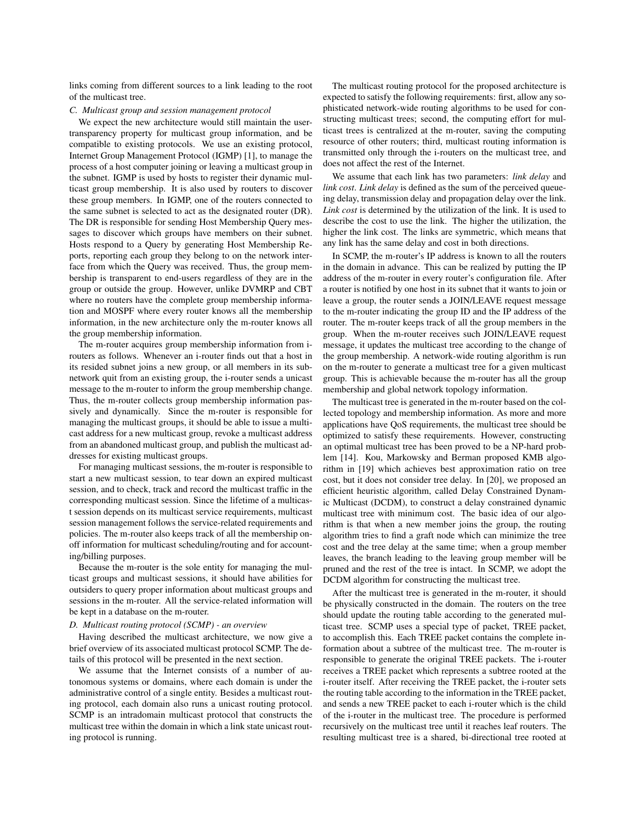links coming from different sources to a link leading to the root of the multicast tree.

#### *C. Multicast group and session management protocol*

We expect the new architecture would still maintain the usertransparency property for multicast group information, and be compatible to existing protocols. We use an existing protocol, Internet Group Management Protocol (IGMP) [1], to manage the process of a host computer joining or leaving a multicast group in the subnet. IGMP is used by hosts to register their dynamic multicast group membership. It is also used by routers to discover these group members. In IGMP, one of the routers connected to the same subnet is selected to act as the designated router (DR). The DR is responsible for sending Host Membership Query messages to discover which groups have members on their subnet. Hosts respond to a Query by generating Host Membership Reports, reporting each group they belong to on the network interface from which the Query was received. Thus, the group membership is transparent to end-users regardless of they are in the group or outside the group. However, unlike DVMRP and CBT where no routers have the complete group membership information and MOSPF where every router knows all the membership information, in the new architecture only the m-router knows all the group membership information.

The m-router acquires group membership information from irouters as follows. Whenever an i-router finds out that a host in its resided subnet joins a new group, or all members in its subnetwork quit from an existing group, the i-router sends a unicast message to the m-router to inform the group membership change. Thus, the m-router collects group membership information passively and dynamically. Since the m-router is responsible for managing the multicast groups, it should be able to issue a multicast address for a new multicast group, revoke a multicast address from an abandoned multicast group, and publish the multicast addresses for existing multicast groups.

For managing multicast sessions, the m-router is responsible to start a new multicast session, to tear down an expired multicast session, and to check, track and record the multicast traffic in the corresponding multicast session. Since the lifetime of a multicast session depends on its multicast service requirements, multicast session management follows the service-related requirements and policies. The m-router also keeps track of all the membership onoff information for multicast scheduling/routing and for accounting/billing purposes.

Because the m-router is the sole entity for managing the multicast groups and multicast sessions, it should have abilities for outsiders to query proper information about multicast groups and sessions in the m-router. All the service-related information will be kept in a database on the m-router.

#### *D. Multicast routing protocol (SCMP) - an overview*

Having described the multicast architecture, we now give a brief overview of its associated multicast protocol SCMP. The details of this protocol will be presented in the next section.

We assume that the Internet consists of a number of autonomous systems or domains, where each domain is under the administrative control of a single entity. Besides a multicast routing protocol, each domain also runs a unicast routing protocol. SCMP is an intradomain multicast protocol that constructs the multicast tree within the domain in which a link state unicast routing protocol is running.

The multicast routing protocol for the proposed architecture is expected to satisfy the following requirements: first, allow any sophisticated network-wide routing algorithms to be used for constructing multicast trees; second, the computing effort for multicast trees is centralized at the m-router, saving the computing resource of other routers; third, multicast routing information is transmitted only through the i-routers on the multicast tree, and does not affect the rest of the Internet.

We assume that each link has two parameters: *link delay* and *link cost*. *Link delay* is defined as the sum of the perceived queueing delay, transmission delay and propagation delay over the link. *Link cost* is determined by the utilization of the link. It is used to describe the cost to use the link. The higher the utilization, the higher the link cost. The links are symmetric, which means that any link has the same delay and cost in both directions.

In SCMP, the m-router's IP address is known to all the routers in the domain in advance. This can be realized by putting the IP address of the m-router in every router's configuration file. After a router is notified by one host in its subnet that it wants to join or leave a group, the router sends a JOIN/LEAVE request message to the m-router indicating the group ID and the IP address of the router. The m-router keeps track of all the group members in the group. When the m-router receives such JOIN/LEAVE request message, it updates the multicast tree according to the change of the group membership. A network-wide routing algorithm is run on the m-router to generate a multicast tree for a given multicast group. This is achievable because the m-router has all the group membership and global network topology information.

The multicast tree is generated in the m-router based on the collected topology and membership information. As more and more applications have QoS requirements, the multicast tree should be optimized to satisfy these requirements. However, constructing an optimal multicast tree has been proved to be a NP-hard problem [14]. Kou, Markowsky and Berman proposed KMB algorithm in [19] which achieves best approximation ratio on tree cost, but it does not consider tree delay. In [20], we proposed an efficient heuristic algorithm, called Delay Constrained Dynamic Multicast (DCDM), to construct a delay constrained dynamic multicast tree with minimum cost. The basic idea of our algorithm is that when a new member joins the group, the routing algorithm tries to find a graft node which can minimize the tree cost and the tree delay at the same time; when a group member leaves, the branch leading to the leaving group member will be pruned and the rest of the tree is intact. In SCMP, we adopt the DCDM algorithm for constructing the multicast tree.

After the multicast tree is generated in the m-router, it should be physically constructed in the domain. The routers on the tree should update the routing table according to the generated multicast tree. SCMP uses a special type of packet, TREE packet, to accomplish this. Each TREE packet contains the complete information about a subtree of the multicast tree. The m-router is responsible to generate the original TREE packets. The i-router receives a TREE packet which represents a subtree rooted at the i-router itself. After receiving the TREE packet, the i-router sets the routing table according to the information in the TREE packet, and sends a new TREE packet to each i-router which is the child of the i-router in the multicast tree. The procedure is performed recursively on the multicast tree until it reaches leaf routers. The resulting multicast tree is a shared, bi-directional tree rooted at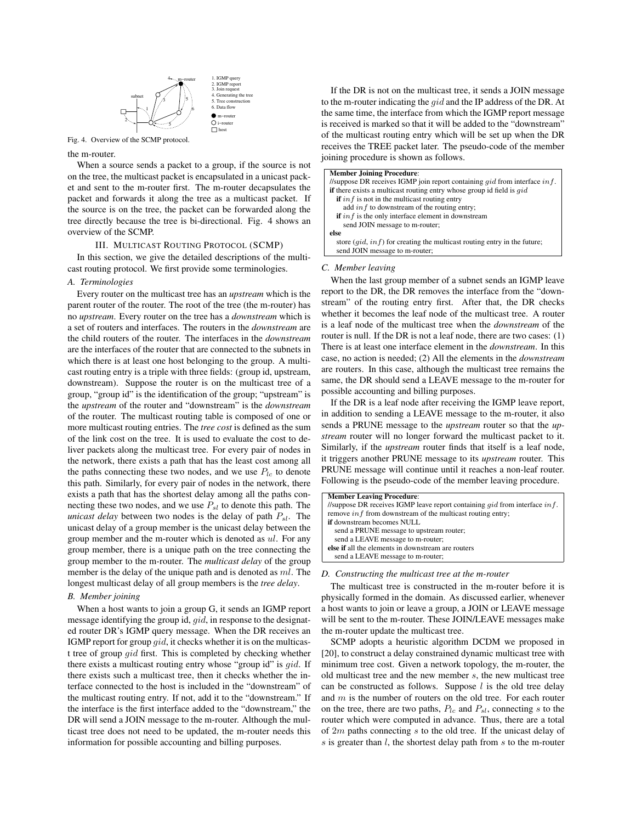

Fig. 4. Overview of the SCMP protocol.

#### the m-router.

When a source sends a packet to a group, if the source is not on the tree, the multicast packet is encapsulated in a unicast packet and sent to the m-router first. The m-router decapsulates the packet and forwards it along the tree as a multicast packet. If the source is on the tree, the packet can be forwarded along the tree directly because the tree is bi-directional. Fig. 4 shows an overview of the SCMP.

# III. MULTICAST ROUTING PROTOCOL (SCMP)

In this section, we give the detailed descriptions of the multicast routing protocol. We first provide some terminologies.

#### *A. Terminologies*

Every router on the multicast tree has an *upstream* which is the parent router of the router. The root of the tree (the m-router) has no *upstream*. Every router on the tree has a *downstream* which is a set of routers and interfaces. The routers in the *downstream* are the child routers of the router. The interfaces in the *downstream* are the interfaces of the router that are connected to the subnets in which there is at least one host belonging to the group. A multicast routing entry is a triple with three fields: (group id, upstream, downstream). Suppose the router is on the multicast tree of a group, "group id" is the identification of the group; "upstream" is the *upstream* of the router and "downstream" is the *downstream* of the router. The multicast routing table is composed of one or more multicast routing entries. The *tree cost* is defined as the sum of the link cost on the tree. It is used to evaluate the cost to deliver packets along the multicast tree. For every pair of nodes in the network, there exists a path that has the least cost among all the paths connecting these two nodes, and we use  $P_{lc}$  to denote this path. Similarly, for every pair of nodes in the network, there exists a path that has the shortest delay among all the paths connecting these two nodes, and we use P*sl* to denote this path. The *unicast delay* between two nodes is the delay of path P*sl*. The unicast delay of a group member is the unicast delay between the group member and the m-router which is denoted as  $ul$ . For any group member, there is a unique path on the tree connecting the group member to the m-router. The *multicast delay* of the group member is the delay of the unique path and is denoted as  $ml$ . The longest multicast delay of all group members is the *tree delay*.

# *B. Member joining*

When a host wants to join a group G, it sends an IGMP report message identifying the group id,  $qid$ , in response to the designated router DR's IGMP query message. When the DR receives an IGMP report for group  $qid$ , it checks whether it is on the multicast tree of group gid first. This is completed by checking whether there exists a multicast routing entry whose "group id" is gid. If there exists such a multicast tree, then it checks whether the interface connected to the host is included in the "downstream" of the multicast routing entry. If not, add it to the "downstream." If the interface is the first interface added to the "downstream," the DR will send a JOIN message to the m-router. Although the multicast tree does not need to be updated, the m-router needs this information for possible accounting and billing purposes.

If the DR is not on the multicast tree, it sends a JOIN message to the m-router indicating the  $gid$  and the IP address of the DR. At the same time, the interface from which the IGMP report message is received is marked so that it will be added to the "downstream" of the multicast routing entry which will be set up when the DR receives the TREE packet later. The pseudo-code of the member joining procedure is shown as follows.

#### **Member Joining Procedure**:

| //suppose DR receives IGMP join report containing $gid$ from interface $inf.$            |
|------------------------------------------------------------------------------------------|
| <b>if</b> there exists a multicast routing entry whose group id field is <i>gid</i>      |
| <b>if</b> in f is not in the multicast routing entry                                     |
| add <i>in f</i> to downstream of the routing entry;                                      |
| <b>if</b> in f is the only interface element in downstream                               |
| send JOIN message to m-router;                                                           |
| else                                                                                     |
| store $(\text{qid}, \text{inf})$ for creating the multicast routing entry in the future; |
| send JOIN message to m-router;                                                           |
|                                                                                          |
|                                                                                          |

# *C. Member leaving*

When the last group member of a subnet sends an IGMP leave report to the DR, the DR removes the interface from the "downstream" of the routing entry first. After that, the DR checks whether it becomes the leaf node of the multicast tree. A router is a leaf node of the multicast tree when the *downstream* of the router is null. If the DR is not a leaf node, there are two cases: (1) There is at least one interface element in the *downstream*. In this case, no action is needed; (2) All the elements in the *downstream* are routers. In this case, although the multicast tree remains the same, the DR should send a LEAVE message to the m-router for possible accounting and billing purposes.

If the DR is a leaf node after receiving the IGMP leave report, in addition to sending a LEAVE message to the m-router, it also sends a PRUNE message to the *upstream* router so that the *upstream* router will no longer forward the multicast packet to it. Similarly, if the *upstream* router finds that itself is a leaf node, it triggers another PRUNE message to its *upstream* router. This PRUNE message will continue until it reaches a non-leaf router. Following is the pseudo-code of the member leaving procedure.

| <b>Member Leaving Procedure:</b>                                                |
|---------------------------------------------------------------------------------|
| //suppose DR receives IGMP leave report containing $gid$ from interface $inf$ . |
| remove <i>in f</i> from downstream of the multicast routing entry;              |
| <b>if</b> downstream becomes NULL                                               |
| send a PRUNE message to upstream router;                                        |
| send a LEAVE message to m-router;                                               |
| else if all the elements in downstream are routers                              |
| send a LEAVE message to m-router;                                               |

#### *D. Constructing the multicast tree at the m-router*

The multicast tree is constructed in the m-router before it is physically formed in the domain. As discussed earlier, whenever a host wants to join or leave a group, a JOIN or LEAVE message will be sent to the m-router. These JOIN/LEAVE messages make the m-router update the multicast tree.

SCMP adopts a heuristic algorithm DCDM we proposed in [20], to construct a delay constrained dynamic multicast tree with minimum tree cost. Given a network topology, the m-router, the old multicast tree and the new member  $s$ , the new multicast tree can be constructed as follows. Suppose  $l$  is the old tree delay and  $m$  is the number of routers on the old tree. For each router on the tree, there are two paths, P*lc* and P*sl*, connecting s to the router which were computed in advance. Thus, there are a total of  $2m$  paths connecting s to the old tree. If the unicast delay of  $s$  is greater than  $l$ , the shortest delay path from  $s$  to the m-router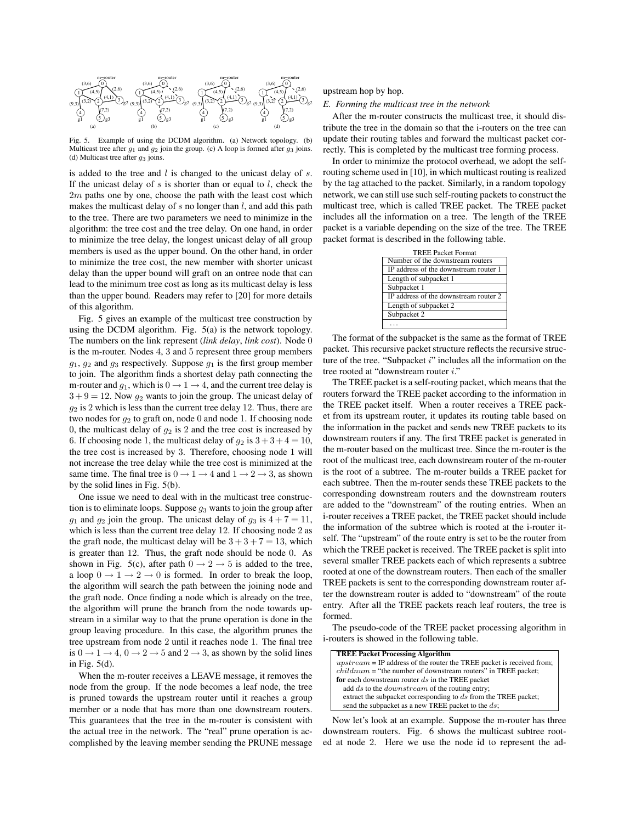

Fig. 5. Example of using the DCDM algorithm. (a) Network topology. (b) Multicast tree after  $g_1$  and  $g_2$  join the group. (c) A loop is formed after  $g_3$  joins. (d) Multicast tree after *g*<sup>3</sup> joins.

is added to the tree and  $l$  is changed to the unicast delay of  $s$ . If the unicast delay of  $s$  is shorter than or equal to  $l$ , check the  $2m$  paths one by one, choose the path with the least cost which makes the multicast delay of  $s$  no longer than  $l$ , and add this path to the tree. There are two parameters we need to minimize in the algorithm: the tree cost and the tree delay. On one hand, in order to minimize the tree delay, the longest unicast delay of all group members is used as the upper bound. On the other hand, in order to minimize the tree cost, the new member with shorter unicast delay than the upper bound will graft on an ontree node that can lead to the minimum tree cost as long as its multicast delay is less than the upper bound. Readers may refer to [20] for more details of this algorithm.

Fig. 5 gives an example of the multicast tree construction by using the DCDM algorithm. Fig. 5(a) is the network topology. The numbers on the link represent (*link delay*, *link cost*). Node 0 is the m-router. Nodes 4, 3 and 5 represent three group members  $g_1, g_2$  and  $g_3$  respectively. Suppose  $g_1$  is the first group member to join. The algorithm finds a shortest delay path connecting the m-router and  $g_1$ , which is  $0 \rightarrow 1 \rightarrow 4$ , and the current tree delay is  $3 + 9 = 12$ . Now  $q_2$  wants to join the group. The unicast delay of  $g_2$  is 2 which is less than the current tree delay 12. Thus, there are two nodes for  $q_2$  to graft on, node 0 and node 1. If choosing node 0, the multicast delay of  $g_2$  is 2 and the tree cost is increased by 6. If choosing node 1, the multicast delay of  $q_2$  is  $3 + 3 + 4 = 10$ , the tree cost is increased by 3. Therefore, choosing node 1 will not increase the tree delay while the tree cost is minimized at the same time. The final tree is  $0 \rightarrow 1 \rightarrow 4$  and  $1 \rightarrow 2 \rightarrow 3$ , as shown by the solid lines in Fig. 5(b).

One issue we need to deal with in the multicast tree construction is to eliminate loops. Suppose  $g_3$  wants to join the group after  $g_1$  and  $g_2$  join the group. The unicast delay of  $g_3$  is  $4 + 7 = 11$ , which is less than the current tree delay 12. If choosing node 2 as the graft node, the multicast delay will be  $3 + 3 + 7 = 13$ , which is greater than 12. Thus, the graft node should be node 0. As shown in Fig. 5(c), after path  $0 \rightarrow 2 \rightarrow 5$  is added to the tree, a loop  $0 \rightarrow 1 \rightarrow 2 \rightarrow 0$  is formed. In order to break the loop, the algorithm will search the path between the joining node and the graft node. Once finding a node which is already on the tree, the algorithm will prune the branch from the node towards upstream in a similar way to that the prune operation is done in the group leaving procedure. In this case, the algorithm prunes the tree upstream from node 2 until it reaches node 1. The final tree is  $0 \rightarrow 1 \rightarrow 4$ ,  $0 \rightarrow 2 \rightarrow 5$  and  $2 \rightarrow 3$ , as shown by the solid lines in Fig. 5(d).

When the m-router receives a LEAVE message, it removes the node from the group. If the node becomes a leaf node, the tree is pruned towards the upstream router until it reaches a group member or a node that has more than one downstream routers. This guarantees that the tree in the m-router is consistent with the actual tree in the network. The "real" prune operation is accomplished by the leaving member sending the PRUNE message upstream hop by hop.

*E. Forming the multicast tree in the network*

After the m-router constructs the multicast tree, it should distribute the tree in the domain so that the i-routers on the tree can update their routing tables and forward the multicast packet correctly. This is completed by the multicast tree forming process.

In order to minimize the protocol overhead, we adopt the selfrouting scheme used in [10], in which multicast routing is realized by the tag attached to the packet. Similarly, in a random topology network, we can still use such self-routing packets to construct the multicast tree, which is called TREE packet. The TREE packet includes all the information on a tree. The length of the TREE packet is a variable depending on the size of the tree. The TREE packet format is described in the following table.

| <b>TREE Packet Format</b>             |
|---------------------------------------|
| Number of the downstream routers      |
| IP address of the downstream router 1 |
| Length of subpacket 1                 |
| Subpacket 1                           |
| IP address of the downstream router 2 |
| Length of subpacket 2                 |
| Subpacket 2                           |
|                                       |

The format of the subpacket is the same as the format of TREE packet. This recursive packet structure reflects the recursive structure of the tree. "Subpacket i" includes all the information on the tree rooted at "downstream router i."

The TREE packet is a self-routing packet, which means that the routers forward the TREE packet according to the information in the TREE packet itself. When a router receives a TREE packet from its upstream router, it updates its routing table based on the information in the packet and sends new TREE packets to its downstream routers if any. The first TREE packet is generated in the m-router based on the multicast tree. Since the m-router is the root of the multicast tree, each downstream router of the m-router is the root of a subtree. The m-router builds a TREE packet for each subtree. Then the m-router sends these TREE packets to the corresponding downstream routers and the downstream routers are added to the "downstream" of the routing entries. When an i-router receives a TREE packet, the TREE packet should include the information of the subtree which is rooted at the i-router itself. The "upstream" of the route entry is set to be the router from which the TREE packet is received. The TREE packet is split into several smaller TREE packets each of which represents a subtree rooted at one of the downstream routers. Then each of the smaller TREE packets is sent to the corresponding downstream router after the downstream router is added to "downstream" of the route entry. After all the TREE packets reach leaf routers, the tree is formed.

The pseudo-code of the TREE packet processing algorithm in i-routers is showed in the following table.

| <b>TREE Packet Processing Algorithm</b>                                 |
|-------------------------------------------------------------------------|
| $upstream = IP$ address of the router the TREE packet is received from; |
| $childrenum = "the number of downstream routers" in TREE packet;$       |
| for each downstream router $ds$ in the TREE packet                      |
| add ds to the <i>downstream</i> of the routing entry;                   |
| extract the subpacket corresponding to ds from the TREE packet;         |
| send the subpacket as a new TREE packet to the ds;                      |

Now let's look at an example. Suppose the m-router has three downstream routers. Fig. 6 shows the multicast subtree rooted at node 2. Here we use the node id to represent the ad-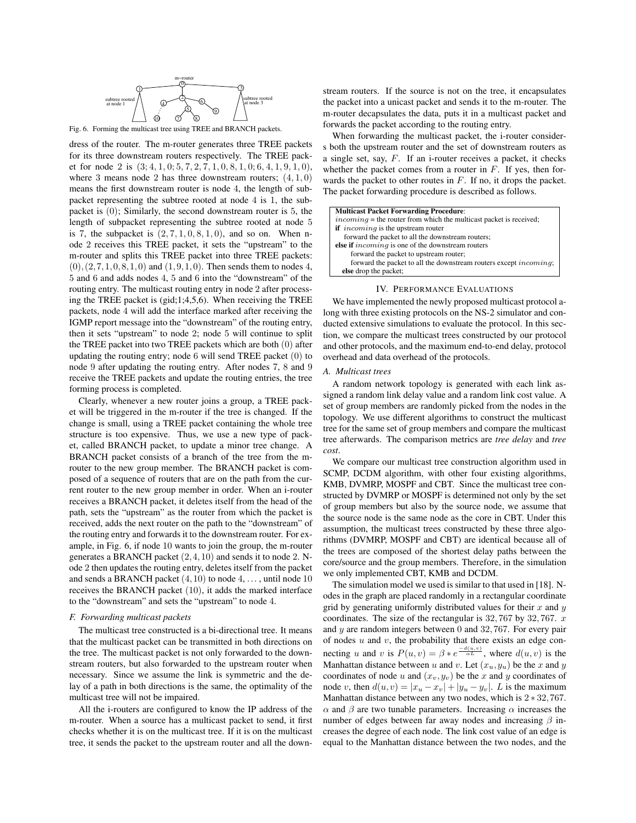

Fig. 6. Forming the multicast tree using TREE and BRANCH packets.

dress of the router. The m-router generates three TREE packets for its three downstream routers respectively. The TREE packet for node 2 is (3; 4, 1, 0; 5, 7, 2, 7, 1, 0, 8, 1, 0; 6, 4, 1, 9, 1, 0), where 3 means node 2 has three downstream routers;  $(4, 1, 0)$ means the first downstream router is node 4, the length of subpacket representing the subtree rooted at node 4 is 1, the subpacket is (0); Similarly, the second downstream router is 5, the length of subpacket representing the subtree rooted at node 5 is 7, the subpacket is  $(2, 7, 1, 0, 8, 1, 0)$ , and so on. When node 2 receives this TREE packet, it sets the "upstream" to the m-router and splits this TREE packet into three TREE packets:  $(0), (2, 7, 1, 0, 8, 1, 0)$  and  $(1, 9, 1, 0)$ . Then sends them to nodes 4, 5 and 6 and adds nodes 4, 5 and 6 into the "downstream" of the routing entry. The multicast routing entry in node 2 after processing the TREE packet is (gid;1;4,5,6). When receiving the TREE packets, node 4 will add the interface marked after receiving the IGMP report message into the "downstream" of the routing entry, then it sets "upstream" to node 2; node 5 will continue to split the TREE packet into two TREE packets which are both (0) after updating the routing entry; node 6 will send TREE packet (0) to node 9 after updating the routing entry. After nodes 7, 8 and 9 receive the TREE packets and update the routing entries, the tree forming process is completed.

Clearly, whenever a new router joins a group, a TREE packet will be triggered in the m-router if the tree is changed. If the change is small, using a TREE packet containing the whole tree structure is too expensive. Thus, we use a new type of packet, called BRANCH packet, to update a minor tree change. A BRANCH packet consists of a branch of the tree from the mrouter to the new group member. The BRANCH packet is composed of a sequence of routers that are on the path from the current router to the new group member in order. When an i-router receives a BRANCH packet, it deletes itself from the head of the path, sets the "upstream" as the router from which the packet is received, adds the next router on the path to the "downstream" of the routing entry and forwards it to the downstream router. For example, in Fig. 6, if node 10 wants to join the group, the m-router generates a BRANCH packet (2,4,10) and sends it to node 2. Node 2 then updates the routing entry, deletes itself from the packet and sends a BRANCH packet  $(4,10)$  to node  $4, \ldots$ , until node 10 receives the BRANCH packet (10), it adds the marked interface to the "downstream" and sets the "upstream" to node 4.

#### *F. Forwarding multicast packets*

The multicast tree constructed is a bi-directional tree. It means that the multicast packet can be transmitted in both directions on the tree. The multicast packet is not only forwarded to the downstream routers, but also forwarded to the upstream router when necessary. Since we assume the link is symmetric and the delay of a path in both directions is the same, the optimality of the multicast tree will not be impaired.

All the i-routers are configured to know the IP address of the m-router. When a source has a multicast packet to send, it first checks whether it is on the multicast tree. If it is on the multicast tree, it sends the packet to the upstream router and all the down-

stream routers. If the source is not on the tree, it encapsulates the packet into a unicast packet and sends it to the m-router. The m-router decapsulates the data, puts it in a multicast packet and forwards the packet according to the routing entry.

When forwarding the multicast packet, the i-router considers both the upstream router and the set of downstream routers as a single set, say, F. If an i-router receives a packet, it checks whether the packet comes from a router in  $F$ . If yes, then forwards the packet to other routes in  $F$ . If no, it drops the packet. The packet forwarding procedure is described as follows.

| <b>Multicast Packet Forwarding Procedure:</b>                             |
|---------------------------------------------------------------------------|
| $incoming =$ the router from which the multicast packet is received;      |
| if incoming is the upstream router                                        |
| forward the packet to all the downstream routers;                         |
| else if $incoming$ is one of the downstream routers                       |
| forward the packet to upstream router;                                    |
| forward the packet to all the downstream routers except <i>incoming</i> ; |
| else drop the packet;                                                     |
|                                                                           |

# IV. PERFORMANCE EVALUATIONS

We have implemented the newly proposed multicast protocol along with three existing protocols on the NS-2 simulator and conducted extensive simulations to evaluate the protocol. In this section, we compare the multicast trees constructed by our protocol and other protocols, and the maximum end-to-end delay, protocol overhead and data overhead of the protocols.

# *A. Multicast trees*

A random network topology is generated with each link assigned a random link delay value and a random link cost value. A set of group members are randomly picked from the nodes in the topology. We use different algorithms to construct the multicast tree for the same set of group members and compare the multicast tree afterwards. The comparison metrics are *tree delay* and *tree cost*.

We compare our multicast tree construction algorithm used in SCMP, DCDM algorithm, with other four existing algorithms, KMB, DVMRP, MOSPF and CBT. Since the multicast tree constructed by DVMRP or MOSPF is determined not only by the set of group members but also by the source node, we assume that the source node is the same node as the core in CBT. Under this assumption, the multicast trees constructed by these three algorithms (DVMRP, MOSPF and CBT) are identical because all of the trees are composed of the shortest delay paths between the core/source and the group members. Therefore, in the simulation we only implemented CBT, KMB and DCDM.

The simulation model we used is similar to that used in [18]. Nodes in the graph are placed randomly in a rectangular coordinate grid by generating uniformly distributed values for their  $x$  and  $y$ coordinates. The size of the rectangular is 32, 767 by 32, 767. x and  $y$  are random integers between 0 and 32,767. For every pair of nodes  $u$  and  $v$ , the probability that there exists an edge connecting u and v is  $P(u, v) = \beta * e^{\frac{-d(u, v)}{\alpha L}}$ , where  $d(u, v)$  is the Manhattan distance between u and v. Let  $(x_u, y_u)$  be the x and y coordinates of node u and  $(x_v, y_v)$  be the x and y coordinates of node v, then  $d(u, v) = |x_u - x_v| + |y_u - y_v|$ . *L* is the maximum Manhattan distance between any two nodes, which is 2 ∗ 32,767. α and β are two tunable parameters. Increasing α increases the number of edges between far away nodes and increasing  $\beta$  increases the degree of each node. The link cost value of an edge is equal to the Manhattan distance between the two nodes, and the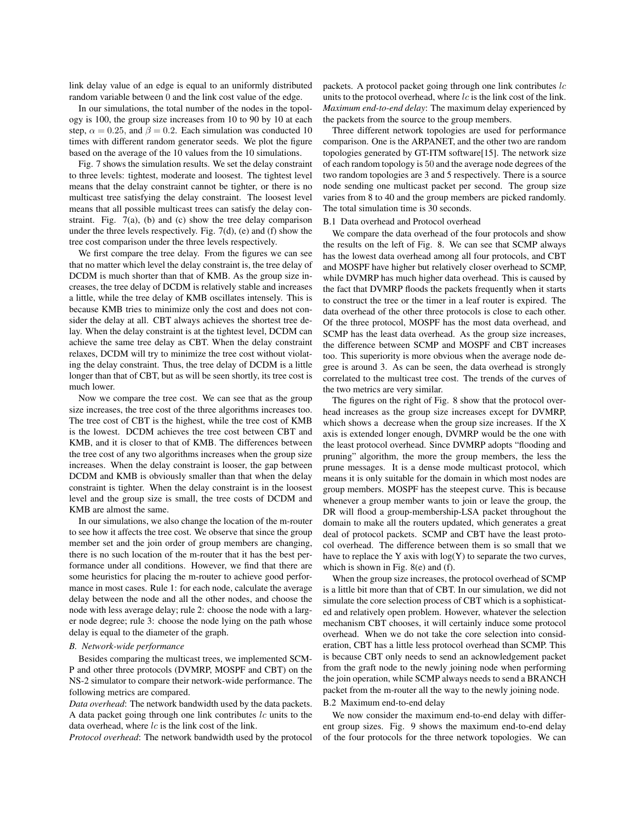link delay value of an edge is equal to an uniformly distributed random variable between 0 and the link cost value of the edge.

In our simulations, the total number of the nodes in the topology is 100, the group size increases from 10 to 90 by 10 at each step,  $\alpha = 0.25$ , and  $\beta = 0.2$ . Each simulation was conducted 10 times with different random generator seeds. We plot the figure based on the average of the 10 values from the 10 simulations.

Fig. 7 shows the simulation results. We set the delay constraint to three levels: tightest, moderate and loosest. The tightest level means that the delay constraint cannot be tighter, or there is no multicast tree satisfying the delay constraint. The loosest level means that all possible multicast trees can satisfy the delay constraint. Fig.  $7(a)$ , (b) and (c) show the tree delay comparison under the three levels respectively. Fig. 7(d), (e) and (f) show the tree cost comparison under the three levels respectively.

We first compare the tree delay. From the figures we can see that no matter which level the delay constraint is, the tree delay of DCDM is much shorter than that of KMB. As the group size increases, the tree delay of DCDM is relatively stable and increases a little, while the tree delay of KMB oscillates intensely. This is because KMB tries to minimize only the cost and does not consider the delay at all. CBT always achieves the shortest tree delay. When the delay constraint is at the tightest level, DCDM can achieve the same tree delay as CBT. When the delay constraint relaxes, DCDM will try to minimize the tree cost without violating the delay constraint. Thus, the tree delay of DCDM is a little longer than that of CBT, but as will be seen shortly, its tree cost is much lower.

Now we compare the tree cost. We can see that as the group size increases, the tree cost of the three algorithms increases too. The tree cost of CBT is the highest, while the tree cost of KMB is the lowest. DCDM achieves the tree cost between CBT and KMB, and it is closer to that of KMB. The differences between the tree cost of any two algorithms increases when the group size increases. When the delay constraint is looser, the gap between DCDM and KMB is obviously smaller than that when the delay constraint is tighter. When the delay constraint is in the loosest level and the group size is small, the tree costs of DCDM and KMB are almost the same.

In our simulations, we also change the location of the m-router to see how it affects the tree cost. We observe that since the group member set and the join order of group members are changing, there is no such location of the m-router that it has the best performance under all conditions. However, we find that there are some heuristics for placing the m-router to achieve good performance in most cases. Rule 1: for each node, calculate the average delay between the node and all the other nodes, and choose the node with less average delay; rule 2: choose the node with a larger node degree; rule 3: choose the node lying on the path whose delay is equal to the diameter of the graph.

# *B. Network-wide performance*

Besides comparing the multicast trees, we implemented SCM-P and other three protocols (DVMRP, MOSPF and CBT) on the NS-2 simulator to compare their network-wide performance. The following metrics are compared.

*Data overhead*: The network bandwidth used by the data packets. A data packet going through one link contributes  $lc$  units to the data overhead, where  $lc$  is the link cost of the link.

*Protocol overhead*: The network bandwidth used by the protocol

packets. A protocol packet going through one link contributes  $lc$ units to the protocol overhead, where  $lc$  is the link cost of the link. *Maximum end-to-end delay*: The maximum delay experienced by the packets from the source to the group members.

Three different network topologies are used for performance comparison. One is the ARPANET, and the other two are random topologies generated by GT-ITM software[15]. The network size of each random topology is 50 and the average node degrees of the two random topologies are 3 and 5 respectively. There is a source node sending one multicast packet per second. The group size varies from 8 to 40 and the group members are picked randomly. The total simulation time is 30 seconds.

# B.1 Data overhead and Protocol overhead

We compare the data overhead of the four protocols and show the results on the left of Fig. 8. We can see that SCMP always has the lowest data overhead among all four protocols, and CBT and MOSPF have higher but relatively closer overhead to SCMP, while DVMRP has much higher data overhead. This is caused by the fact that DVMRP floods the packets frequently when it starts to construct the tree or the timer in a leaf router is expired. The data overhead of the other three protocols is close to each other. Of the three protocol, MOSPF has the most data overhead, and SCMP has the least data overhead. As the group size increases, the difference between SCMP and MOSPF and CBT increases too. This superiority is more obvious when the average node degree is around 3. As can be seen, the data overhead is strongly correlated to the multicast tree cost. The trends of the curves of the two metrics are very similar.

The figures on the right of Fig. 8 show that the protocol overhead increases as the group size increases except for DVMRP, which shows a decrease when the group size increases. If the X axis is extended longer enough, DVMRP would be the one with the least protocol overhead. Since DVMRP adopts "flooding and pruning" algorithm, the more the group members, the less the prune messages. It is a dense mode multicast protocol, which means it is only suitable for the domain in which most nodes are group members. MOSPF has the steepest curve. This is because whenever a group member wants to join or leave the group, the DR will flood a group-membership-LSA packet throughout the domain to make all the routers updated, which generates a great deal of protocol packets. SCMP and CBT have the least protocol overhead. The difference between them is so small that we have to replace the Y axis with  $log(Y)$  to separate the two curves, which is shown in Fig. 8(e) and (f).

When the group size increases, the protocol overhead of SCMP is a little bit more than that of CBT. In our simulation, we did not simulate the core selection process of CBT which is a sophisticated and relatively open problem. However, whatever the selection mechanism CBT chooses, it will certainly induce some protocol overhead. When we do not take the core selection into consideration, CBT has a little less protocol overhead than SCMP. This is because CBT only needs to send an acknowledgement packet from the graft node to the newly joining node when performing the join operation, while SCMP always needs to send a BRANCH packet from the m-router all the way to the newly joining node.

# B.2 Maximum end-to-end delay

We now consider the maximum end-to-end delay with different group sizes. Fig. 9 shows the maximum end-to-end delay of the four protocols for the three network topologies. We can